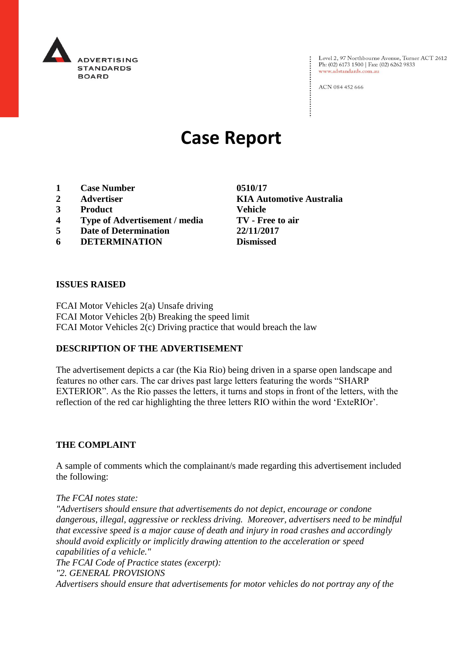

Level 2, 97 Northbourne Avenue, Turner ACT 2612<br>Ph: (02) 6173 1500 | Fax: (02) 6262 9833 www.adstandards.com.au

ACN 084 452 666

# **Case Report**

- **1 Case Number 0510/17**
- **2 Advertiser KIA Automotive Australia**
- **3 Product Vehicle**
- **4 Type of Advertisement / media TV - Free to air**
- **5 Date of Determination 22/11/2017**
- **6 DETERMINATION Dismissed**

#### **ISSUES RAISED**

FCAI Motor Vehicles 2(a) Unsafe driving FCAI Motor Vehicles 2(b) Breaking the speed limit FCAI Motor Vehicles 2(c) Driving practice that would breach the law

#### **DESCRIPTION OF THE ADVERTISEMENT**

The advertisement depicts a car (the Kia Rio) being driven in a sparse open landscape and features no other cars. The car drives past large letters featuring the words "SHARP EXTERIOR". As the Rio passes the letters, it turns and stops in front of the letters, with the reflection of the red car highlighting the three letters RIO within the word 'ExteRIOr'.

#### **THE COMPLAINT**

A sample of comments which the complainant/s made regarding this advertisement included the following:

*The FCAI notes state:*

*"Advertisers should ensure that advertisements do not depict, encourage or condone dangerous, illegal, aggressive or reckless driving. Moreover, advertisers need to be mindful that excessive speed is a major cause of death and injury in road crashes and accordingly should avoid explicitly or implicitly drawing attention to the acceleration or speed capabilities of a vehicle." The FCAI Code of Practice states (excerpt): "2. GENERAL PROVISIONS*

*Advertisers should ensure that advertisements for motor vehicles do not portray any of the*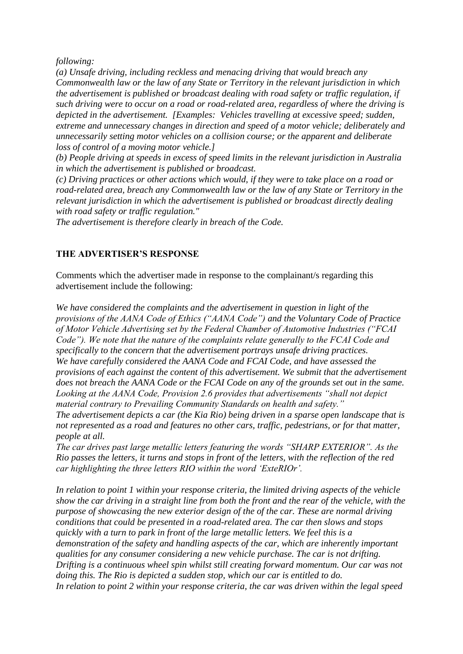*following:*

*(a) Unsafe driving, including reckless and menacing driving that would breach any Commonwealth law or the law of any State or Territory in the relevant jurisdiction in which the advertisement is published or broadcast dealing with road safety or traffic regulation, if such driving were to occur on a road or road-related area, regardless of where the driving is depicted in the advertisement. [Examples: Vehicles travelling at excessive speed; sudden, extreme and unnecessary changes in direction and speed of a motor vehicle; deliberately and unnecessarily setting motor vehicles on a collision course; or the apparent and deliberate loss of control of a moving motor vehicle.]*

*(b) People driving at speeds in excess of speed limits in the relevant jurisdiction in Australia in which the advertisement is published or broadcast.*

*(c) Driving practices or other actions which would, if they were to take place on a road or road-related area, breach any Commonwealth law or the law of any State or Territory in the relevant jurisdiction in which the advertisement is published or broadcast directly dealing with road safety or traffic regulation."*

*The advertisement is therefore clearly in breach of the Code.*

### **THE ADVERTISER'S RESPONSE**

Comments which the advertiser made in response to the complainant/s regarding this advertisement include the following:

*We have considered the complaints and the advertisement in question in light of the provisions of the AANA Code of Ethics ("AANA Code") and the Voluntary Code of Practice of Motor Vehicle Advertising set by the Federal Chamber of Automotive Industries ("FCAI Code"). We note that the nature of the complaints relate generally to the FCAI Code and specifically to the concern that the advertisement portrays unsafe driving practices. We have carefully considered the AANA Code and FCAI Code, and have assessed the provisions of each against the content of this advertisement. We submit that the advertisement does not breach the AANA Code or the FCAI Code on any of the grounds set out in the same. Looking at the AANA Code, Provision 2.6 provides that advertisements "shall not depict material contrary to Prevailing Community Standards on health and safety." The advertisement depicts a car (the Kia Rio) being driven in a sparse open landscape that is* 

*not represented as a road and features no other cars, traffic, pedestrians, or for that matter, people at all.*

*The car drives past large metallic letters featuring the words "SHARP EXTERIOR". As the Rio passes the letters, it turns and stops in front of the letters, with the reflection of the red car highlighting the three letters RIO within the word 'ExteRIOr'.*

*In relation to point 1 within your response criteria, the limited driving aspects of the vehicle show the car driving in a straight line from both the front and the rear of the vehicle, with the purpose of showcasing the new exterior design of the of the car. These are normal driving conditions that could be presented in a road-related area. The car then slows and stops quickly with a turn to park in front of the large metallic letters. We feel this is a demonstration of the safety and handling aspects of the car, which are inherently important qualities for any consumer considering a new vehicle purchase. The car is not drifting. Drifting is a continuous wheel spin whilst still creating forward momentum. Our car was not doing this. The Rio is depicted a sudden stop, which our car is entitled to do. In relation to point 2 within your response criteria, the car was driven within the legal speed*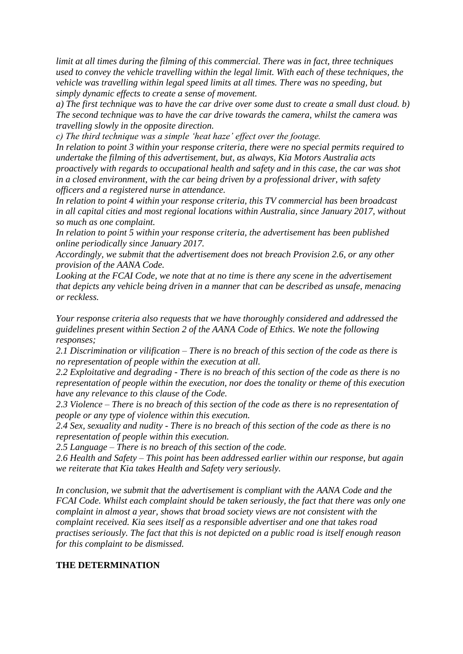*limit at all times during the filming of this commercial. There was in fact, three techniques used to convey the vehicle travelling within the legal limit. With each of these techniques, the vehicle was travelling within legal speed limits at all times. There was no speeding, but simply dynamic effects to create a sense of movement.*

*a) The first technique was to have the car drive over some dust to create a small dust cloud. b) The second technique was to have the car drive towards the camera, whilst the camera was travelling slowly in the opposite direction.*

*c) The third technique was a simple 'heat haze' effect over the footage.*

*In relation to point 3 within your response criteria, there were no special permits required to undertake the filming of this advertisement, but, as always, Kia Motors Australia acts proactively with regards to occupational health and safety and in this case, the car was shot in a closed environment, with the car being driven by a professional driver, with safety officers and a registered nurse in attendance.*

*In relation to point 4 within your response criteria, this TV commercial has been broadcast in all capital cities and most regional locations within Australia, since January 2017, without so much as one complaint.*

*In relation to point 5 within your response criteria, the advertisement has been published online periodically since January 2017.*

*Accordingly, we submit that the advertisement does not breach Provision 2.6, or any other provision of the AANA Code.*

*Looking at the FCAI Code, we note that at no time is there any scene in the advertisement that depicts any vehicle being driven in a manner that can be described as unsafe, menacing or reckless.*

*Your response criteria also requests that we have thoroughly considered and addressed the guidelines present within Section 2 of the AANA Code of Ethics. We note the following responses;*

*2.1 Discrimination or vilification – There is no breach of this section of the code as there is no representation of people within the execution at all.*

*2.2 Exploitative and degrading - There is no breach of this section of the code as there is no representation of people within the execution, nor does the tonality or theme of this execution have any relevance to this clause of the Code.*

*2.3 Violence – There is no breach of this section of the code as there is no representation of people or any type of violence within this execution.*

*2.4 Sex, sexuality and nudity - There is no breach of this section of the code as there is no representation of people within this execution.*

*2.5 Language – There is no breach of this section of the code.*

*2.6 Health and Safety – This point has been addressed earlier within our response, but again we reiterate that Kia takes Health and Safety very seriously.*

*In conclusion, we submit that the advertisement is compliant with the AANA Code and the FCAI Code. Whilst each complaint should be taken seriously, the fact that there was only one complaint in almost a year, shows that broad society views are not consistent with the complaint received. Kia sees itself as a responsible advertiser and one that takes road practises seriously. The fact that this is not depicted on a public road is itself enough reason for this complaint to be dismissed.*

## **THE DETERMINATION**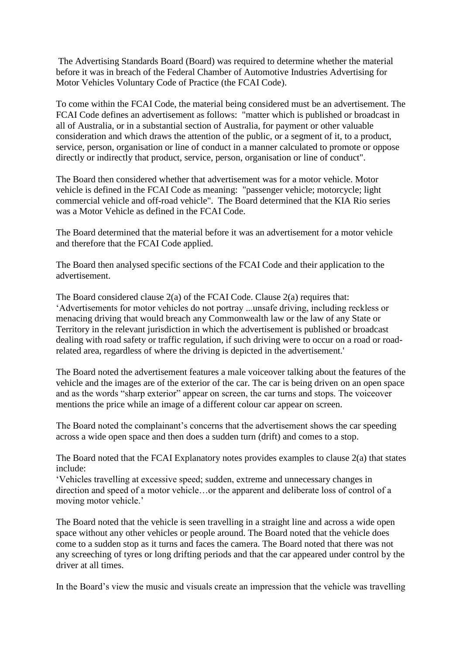The Advertising Standards Board (Board) was required to determine whether the material before it was in breach of the Federal Chamber of Automotive Industries Advertising for Motor Vehicles Voluntary Code of Practice (the FCAI Code).

To come within the FCAI Code, the material being considered must be an advertisement. The FCAI Code defines an advertisement as follows: "matter which is published or broadcast in all of Australia, or in a substantial section of Australia, for payment or other valuable consideration and which draws the attention of the public, or a segment of it, to a product, service, person, organisation or line of conduct in a manner calculated to promote or oppose directly or indirectly that product, service, person, organisation or line of conduct".

The Board then considered whether that advertisement was for a motor vehicle. Motor vehicle is defined in the FCAI Code as meaning: "passenger vehicle; motorcycle; light commercial vehicle and off-road vehicle". The Board determined that the KIA Rio series was a Motor Vehicle as defined in the FCAI Code.

The Board determined that the material before it was an advertisement for a motor vehicle and therefore that the FCAI Code applied.

The Board then analysed specific sections of the FCAI Code and their application to the advertisement.

The Board considered clause 2(a) of the FCAI Code. Clause 2(a) requires that: 'Advertisements for motor vehicles do not portray ...unsafe driving, including reckless or menacing driving that would breach any Commonwealth law or the law of any State or Territory in the relevant jurisdiction in which the advertisement is published or broadcast dealing with road safety or traffic regulation, if such driving were to occur on a road or roadrelated area, regardless of where the driving is depicted in the advertisement.'

The Board noted the advertisement features a male voiceover talking about the features of the vehicle and the images are of the exterior of the car. The car is being driven on an open space and as the words "sharp exterior" appear on screen, the car turns and stops. The voiceover mentions the price while an image of a different colour car appear on screen.

The Board noted the complainant's concerns that the advertisement shows the car speeding across a wide open space and then does a sudden turn (drift) and comes to a stop.

The Board noted that the FCAI Explanatory notes provides examples to clause 2(a) that states include:

'Vehicles travelling at excessive speed; sudden, extreme and unnecessary changes in direction and speed of a motor vehicle…or the apparent and deliberate loss of control of a moving motor vehicle.'

The Board noted that the vehicle is seen travelling in a straight line and across a wide open space without any other vehicles or people around. The Board noted that the vehicle does come to a sudden stop as it turns and faces the camera. The Board noted that there was not any screeching of tyres or long drifting periods and that the car appeared under control by the driver at all times.

In the Board's view the music and visuals create an impression that the vehicle was travelling